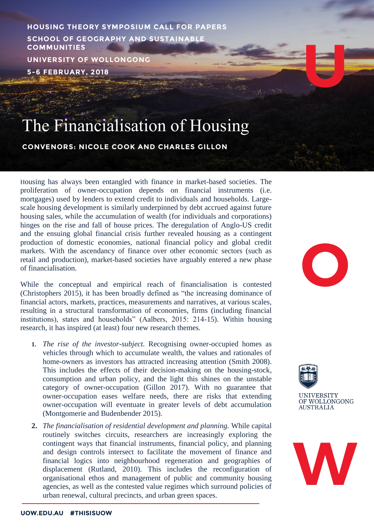**HOUSING THEORY SYMPOSIUM CALL FOR PAPERS SCHOOL OF GEOGRAPHY AND SUSTAINABLE COMMUNITIES UNIVERSITY OF WOLLONGONG 5-6 FEBRUARY, 2018**

# The Financialisation of Housing

## **CONVENORS: NICOLE COOK AND CHARLES GILLON**

Housing has always been entangled with finance in market-based societies. The proliferation of owner-occupation depends on financial instruments (i.e. mortgages) used by lenders to extend credit to individuals and households. Largescale housing development is similarly underpinned by debt accrued against future housing sales, while the accumulation of wealth (for individuals and corporations) hinges on the rise and fall of house prices. The deregulation of Anglo-US credit and the ensuing global financial crisis further revealed housing as a contingent production of domestic economies, national financial policy and global credit markets. With the ascendancy of finance over other economic sectors (such as retail and production), market-based societies have arguably entered a new phase of financialisation.

While the conceptual and empirical reach of financialisation is contested (Christophers 2015), it has been broadly defined as "the increasing dominance of financial actors, markets, practices, measurements and narratives, at various scales, resulting in a structural transformation of economies, firms (including financial institutions), states and households" (Aalbers, 2015: 214-15). Within housing research, it has inspired (at least) four new research themes.

- **1.** *The rise of the investor-subject.* Recognising owner-occupied homes as vehicles through which to accumulate wealth, the values and rationales of home-owners as investors has attracted increasing attention (Smith 2008). This includes the effects of their decision-making on the housing-stock, consumption and urban policy, and the light this shines on the unstable category of owner-occupation (Gillon 2017). With no guarantee that owner-occupation eases welfare needs, there are risks that extending owner-occupation will eventuate in greater levels of debt accumulation (Montgomerie and Budenbender 2015).
- **2.** *The financialisation of residential development and planning.* While capital routinely switches circuits, researchers are increasingly exploring the contingent ways that financial instruments, financial policy, and planning and design controls intersect to facilitate the movement of finance and financial logics into neighbourhood regeneration and geographies of displacement (Rutland, 2010). This includes the reconfiguration of organisational ethos and management of public and community housing agencies, as well as the contested value regimes which surround policies of urban renewal, cultural precincts, and urban green spaces.



**AUSTRALIA** 

 $\bigcirc$ 

W